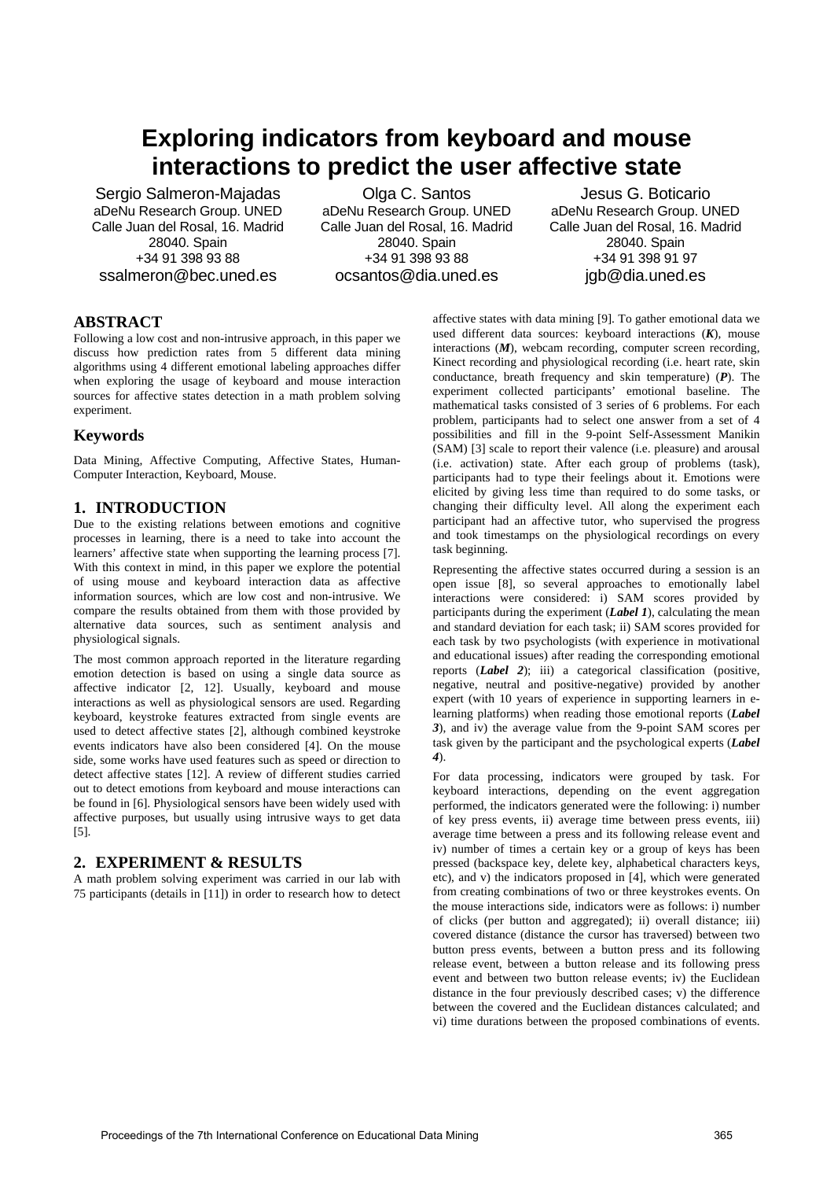# **Exploring indicators from keyboard and mouse interactions to predict the user affective state**

Sergio Salmeron-Majadas aDeNu Research Group. UNED Calle Juan del Rosal, 16. Madrid 28040. Spain +34 91 398 93 88 ssalmeron@bec.uned.es

Olga C. Santos aDeNu Research Group. UNED Calle Juan del Rosal, 16. Madrid 28040. Spain +34 91 398 93 88 ocsantos@dia.uned.es

Jesus G. Boticario aDeNu Research Group. UNED Calle Juan del Rosal, 16. Madrid 28040. Spain +34 91 398 91 97 jgb@dia.uned.es

#### **ABSTRACT**

Following a low cost and non-intrusive approach, in this paper we discuss how prediction rates from 5 different data mining algorithms using 4 different emotional labeling approaches differ when exploring the usage of keyboard and mouse interaction sources for affective states detection in a math problem solving experiment.

# **Keywords**

Data Mining, Affective Computing, Affective States, Human-Computer Interaction, Keyboard, Mouse.

# **1. INTRODUCTION**

Due to the existing relations between emotions and cognitive processes in learning, there is a need to take into account the learners' affective state when supporting the learning process [7]. With this context in mind, in this paper we explore the potential of using mouse and keyboard interaction data as affective information sources, which are low cost and non-intrusive. We compare the results obtained from them with those provided by alternative data sources, such as sentiment analysis and physiological signals.

The most common approach reported in the literature regarding emotion detection is based on using a single data source as affective indicator [2, 12]. Usually, keyboard and mouse interactions as well as physiological sensors are used. Regarding keyboard, keystroke features extracted from single events are used to detect affective states [2], although combined keystroke events indicators have also been considered [4]. On the mouse side, some works have used features such as speed or direction to detect affective states [12]. A review of different studies carried out to detect emotions from keyboard and mouse interactions can be found in [6]. Physiological sensors have been widely used with affective purposes, but usually using intrusive ways to get data [5].

# **2. EXPERIMENT & RESULTS**

A math problem solving experiment was carried in our lab with 75 participants (details in [11]) in order to research how to detect affective states with data mining [9]. To gather emotional data we used different data sources: keyboard interactions (*K*), mouse interactions (*M*), webcam recording, computer screen recording, Kinect recording and physiological recording (i.e. heart rate, skin conductance, breath frequency and skin temperature) (*P*). The experiment collected participants' emotional baseline. The mathematical tasks consisted of 3 series of 6 problems. For each problem, participants had to select one answer from a set of 4 possibilities and fill in the 9-point Self-Assessment Manikin (SAM) [3] scale to report their valence (i.e. pleasure) and arousal (i.e. activation) state. After each group of problems (task), participants had to type their feelings about it. Emotions were elicited by giving less time than required to do some tasks, or changing their difficulty level. All along the experiment each participant had an affective tutor, who supervised the progress and took timestamps on the physiological recordings on every task beginning.

Representing the affective states occurred during a session is an open issue [8], so several approaches to emotionally label interactions were considered: i) SAM scores provided by participants during the experiment (*Label 1*), calculating the mean and standard deviation for each task; ii) SAM scores provided for each task by two psychologists (with experience in motivational and educational issues) after reading the corresponding emotional reports (*Label 2*); iii) a categorical classification (positive, negative, neutral and positive-negative) provided by another expert (with 10 years of experience in supporting learners in elearning platforms) when reading those emotional reports (*Label 3*), and iv) the average value from the 9-point SAM scores per task given by the participant and the psychological experts (*Label 4*).

For data processing, indicators were grouped by task. For keyboard interactions, depending on the event aggregation performed, the indicators generated were the following: i) number of key press events, ii) average time between press events, iii) average time between a press and its following release event and iv) number of times a certain key or a group of keys has been pressed (backspace key, delete key, alphabetical characters keys, etc), and v) the indicators proposed in [4], which were generated from creating combinations of two or three keystrokes events. On the mouse interactions side, indicators were as follows: i) number of clicks (per button and aggregated); ii) overall distance; iii) covered distance (distance the cursor has traversed) between two button press events, between a button press and its following release event, between a button release and its following press event and between two button release events; iv) the Euclidean distance in the four previously described cases; v) the difference between the covered and the Euclidean distances calculated; and vi) time durations between the proposed combinations of events.